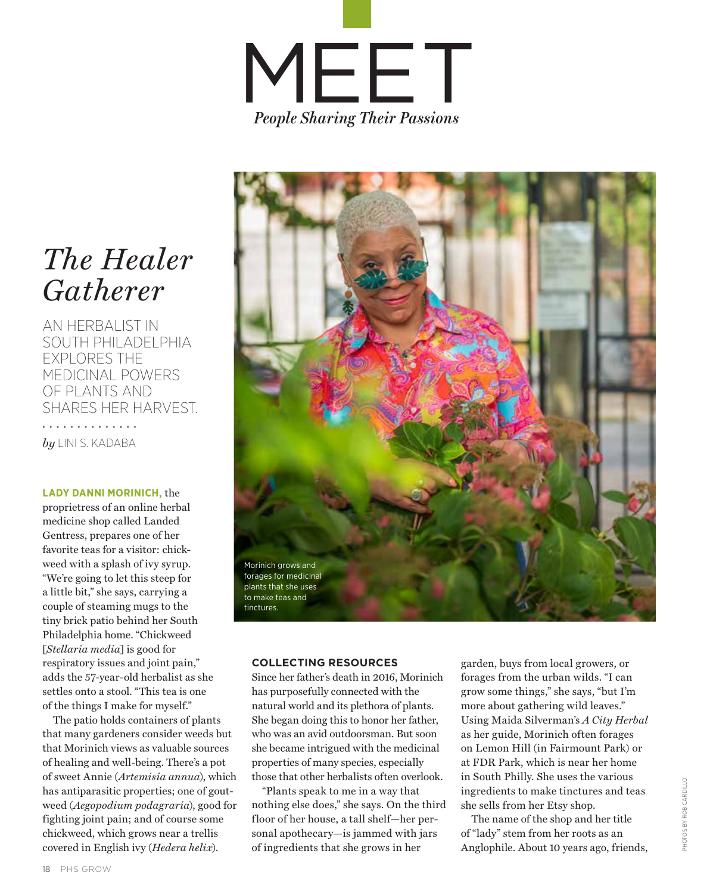

## *The Healer Gatherer*

AN HERBALIST IN SOUTH PHILADELPHIA EXPLORES THE MEDICINAL POWERS OF PLANTS AND SHARES HER HARVEST.

. . . . . . . . . . . *by* LINI S. KADABA

**LADY DANNI MORINICH,** the proprietress of an online herbal medicine shop called Landed Gentress, prepares one of her favorite teas for a visitor: chickweed with a splash of ivy syrup. "We're going to let this steep for a little bit," she says, carrying a couple of steaming mugs to the tiny brick patio behind her South Philadelphia home. "Chickweed [*Stellaria media*] is good for respiratory issues and joint pain," adds the 57-year-old herbalist as she settles onto a stool. "This tea is one of the things I make for myself."

The patio holds containers of plants that many gardeners consider weeds but that Morinich views as valuable sources of healing and well-being. There's a pot of sweet Annie (*Artemisia annua*), which has antiparasitic properties; one of goutweed (*Aegopodium podagraria*), good for fighting joint pain; and of course some chickweed, which grows near a trellis covered in English ivy (*Hedera helix*).



## **COLLECTING RESOURCES**

Since her father's death in 2016, Morinich has purposefully connected with the natural world and its plethora of plants. She began doing this to honor her father, who was an avid outdoorsman. But soon she became intrigued with the medicinal properties of many species, especially those that other herbalists often overlook.

"Plants speak to me in a way that nothing else does," she says. On the third floor of her house, a tall shelf—her personal apothecary—is jammed with jars of ingredients that she grows in her

garden, buys from local growers, or forages from the urban wilds. "I can grow some things," she says, "but I'm more about gathering wild leaves." Using Maida Silverman's *A City Herbal* as her guide, Morinich often forages on Lemon Hill (in Fairmount Park) or at FDR Park, which is near her home in South Philly. She uses the various ingredients to make tinctures and teas she sells from her Etsy shop.

The name of the shop and her title of "lady" stem from her roots as an Anglophile. About 10 years ago, friends,